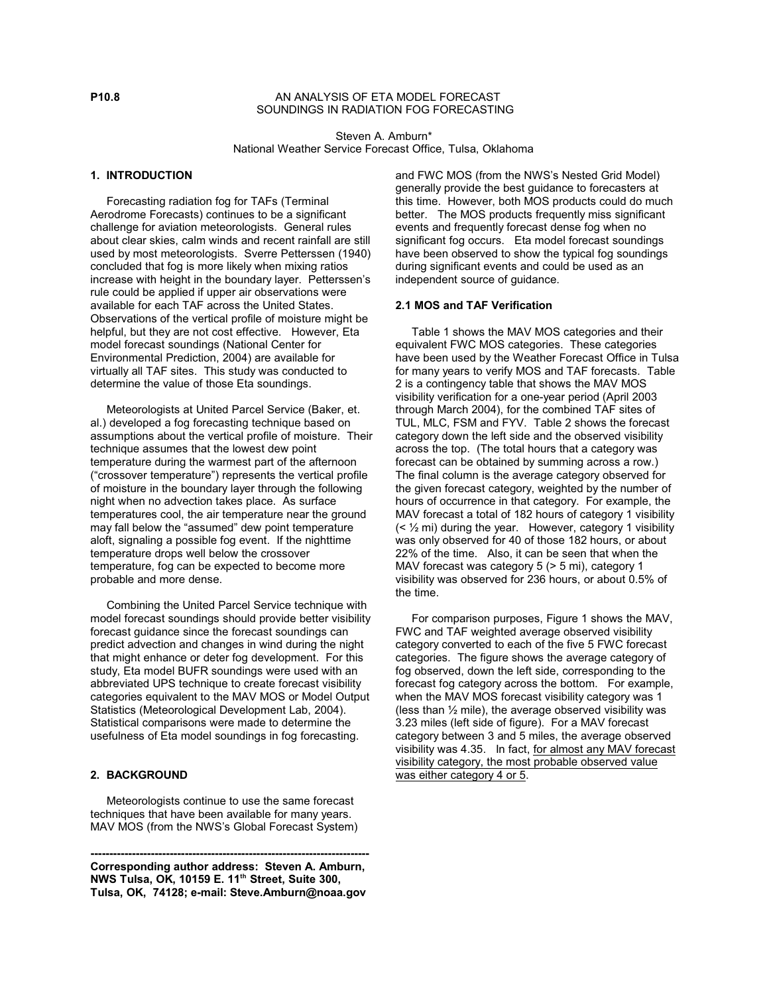### **P10.8** AN ANALYSIS OF ETA MODEL FORECAST SOUNDINGS IN RADIATION FOG FORECASTING

Steven A. Amburn\* National Weather Service Forecast Office, Tulsa, Oklahoma

# **1. INTRODUCTION**

 Forecasting radiation fog for TAFs (Terminal Aerodrome Forecasts) continues to be a significant challenge for aviation meteorologists. General rules about clear skies, calm winds and recent rainfall are still used by most meteorologists. Sverre Petterssen (1940) concluded that fog is more likely when mixing ratios increase with height in the boundary layer. Petterssen's rule could be applied if upper air observations were available for each TAF across the United States. Observations of the vertical profile of moisture might be helpful, but they are not cost effective. However, Eta model forecast soundings (National Center for Environmental Prediction, 2004) are available for virtually all TAF sites. This study was conducted to determine the value of those Eta soundings.

 Meteorologists at United Parcel Service (Baker, et. al.) developed a fog forecasting technique based on assumptions about the vertical profile of moisture. Their technique assumes that the lowest dew point temperature during the warmest part of the afternoon ("crossover temperature") represents the vertical profile of moisture in the boundary layer through the following night when no advection takes place. As surface temperatures cool, the air temperature near the ground may fall below the "assumed" dew point temperature aloft, signaling a possible fog event. If the nighttime temperature drops well below the crossover temperature, fog can be expected to become more probable and more dense.

 Combining the United Parcel Service technique with model forecast soundings should provide better visibility forecast guidance since the forecast soundings can predict advection and changes in wind during the night that might enhance or deter fog development. For this study, Eta model BUFR soundings were used with an abbreviated UPS technique to create forecast visibility categories equivalent to the MAV MOS or Model Output Statistics (Meteorological Development Lab, 2004). Statistical comparisons were made to determine the usefulness of Eta model soundings in fog forecasting.

# **2. BACKGROUND**

 Meteorologists continue to use the same forecast techniques that have been available for many years. MAV MOS (from the NWS's Global Forecast System)

**-------------------------------------------------------------------------- Corresponding author address: Steven A. Amburn, NWS Tulsa, OK, 10159 E. 11 Street, Suite 300, th Tulsa, OK, 74128; e-mail: Steve.Amburn@noaa.gov**

and FWC MOS (from the NWS's Nested Grid Model) generally provide the best guidance to forecasters at this time. However, both MOS products could do much better. The MOS products frequently miss significant events and frequently forecast dense fog when no significant fog occurs. Eta model forecast soundings have been observed to show the typical fog soundings during significant events and could be used as an independent source of guidance.

### **2.1 MOS and TAF Verification**

 Table 1 shows the MAV MOS categories and their equivalent FWC MOS categories. These categories have been used by the Weather Forecast Office in Tulsa for many years to verify MOS and TAF forecasts. Table 2 is a contingency table that shows the MAV MOS visibility verification for a one-year period (April 2003 through March 2004), for the combined TAF sites of TUL, MLC, FSM and FYV. Table 2 shows the forecast category down the left side and the observed visibility across the top. (The total hours that a category was forecast can be obtained by summing across a row.) The final column is the average category observed for the given forecast category, weighted by the number of hours of occurrence in that category. For example, the MAV forecast a total of 182 hours of category 1 visibility  $( $\frac{1}{2}$  mi) during the year. However, category 1 visibility$ was only observed for 40 of those 182 hours, or about 22% of the time. Also, it can be seen that when the MAV forecast was category 5 (> 5 mi), category 1 visibility was observed for 236 hours, or about 0.5% of the time.

 For comparison purposes, Figure 1 shows the MAV, FWC and TAF weighted average observed visibility category converted to each of the five 5 FWC forecast categories. The figure shows the average category of fog observed, down the left side, corresponding to the forecast fog category across the bottom. For example, when the MAV MOS forecast visibility category was 1 (less than  $\frac{1}{2}$  mile), the average observed visibility was 3.23 miles (left side of figure). For a MAV forecast category between 3 and 5 miles, the average observed visibility was 4.35. In fact, for almost any MAV forecast visibility category, the most probable observed value was either category 4 or 5.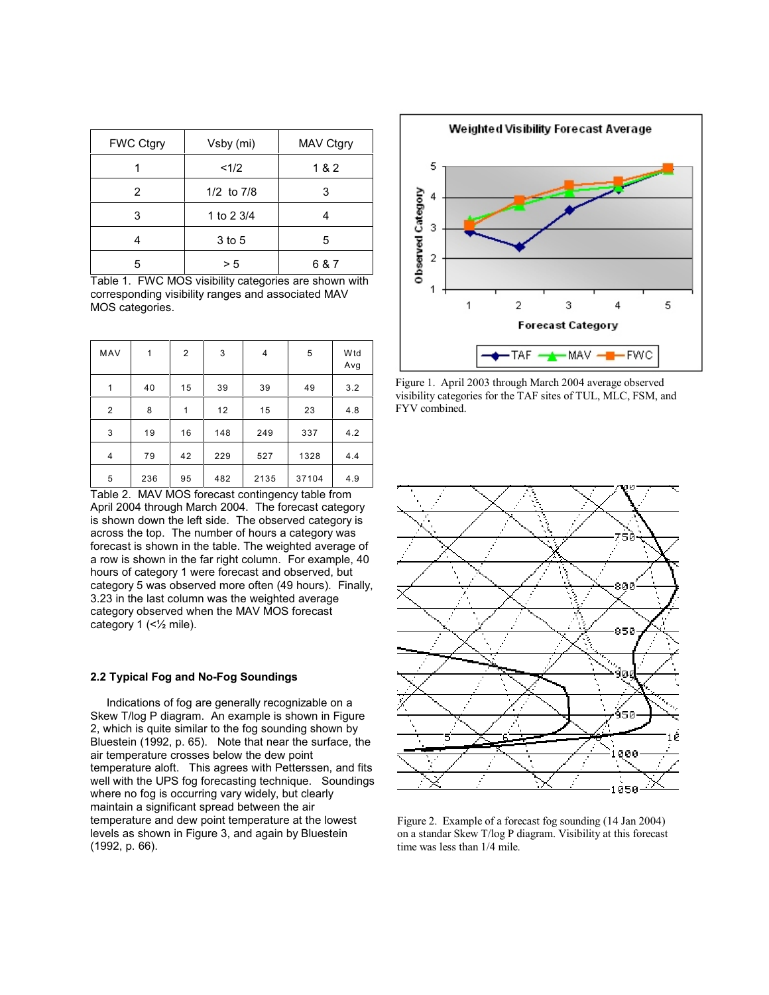| <b>FWC Ctgry</b> | Vsby (mi)      | MAV Ctgry |  |
|------------------|----------------|-----------|--|
|                  | <1/2           | 1&2       |  |
| 2                | $1/2$ to $7/8$ | 3         |  |
| 3                | 1 to 2 3/4     |           |  |
|                  | 3 to 5         | 5         |  |
| 5                | > 5            | 6 & 7     |  |

Table 1. FWC MOS visibility categories are shown with corresponding visibility ranges and associated MAV MOS categories.

| MAV            | 1   | 2  | 3   | 4    | 5     | W <sub>td</sub><br>Avg |
|----------------|-----|----|-----|------|-------|------------------------|
| 1              | 40  | 15 | 39  | 39   | 49    | 3.2                    |
| $\overline{c}$ | 8   | 1  | 12  | 15   | 23    | 4.8                    |
| 3              | 19  | 16 | 148 | 249  | 337   | 4.2                    |
| 4              | 79  | 42 | 229 | 527  | 1328  | 4.4                    |
| 5              | 236 | 95 | 482 | 2135 | 37104 | 4.9                    |

Table 2. MAV MOS forecast contingency table from April 2004 through March 2004. The forecast category is shown down the left side. The observed category is across the top. The number of hours a category was forecast is shown in the table. The weighted average of a row is shown in the far right column. For example, 40 hours of category 1 were forecast and observed, but category 5 was observed more often (49 hours). Finally, 3.23 in the last column was the weighted average category observed when the MAV MOS forecast category 1 (<½ mile).

### **2.2 Typical Fog and No-Fog Soundings**

 Indications of fog are generally recognizable on a Skew T/log P diagram. An example is shown in Figure 2, which is quite similar to the fog sounding shown by Bluestein (1992, p. 65). Note that near the surface, the air temperature crosses below the dew point temperature aloft. This agrees with Petterssen, and fits well with the UPS fog forecasting technique. Soundings where no fog is occurring vary widely, but clearly maintain a significant spread between the air temperature and dew point temperature at the lowest levels as shown in Figure 3, and again by Bluestein (1992, p. 66).



Figure 1. April 2003 through March 2004 average observed visibility categories for the TAF sites of TUL, MLC, FSM, and FYV combined.



Figure 2. Example of a forecast fog sounding (14 Jan 2004) on a standar Skew T/log P diagram. Visibility at this forecast time was less than 1/4 mile.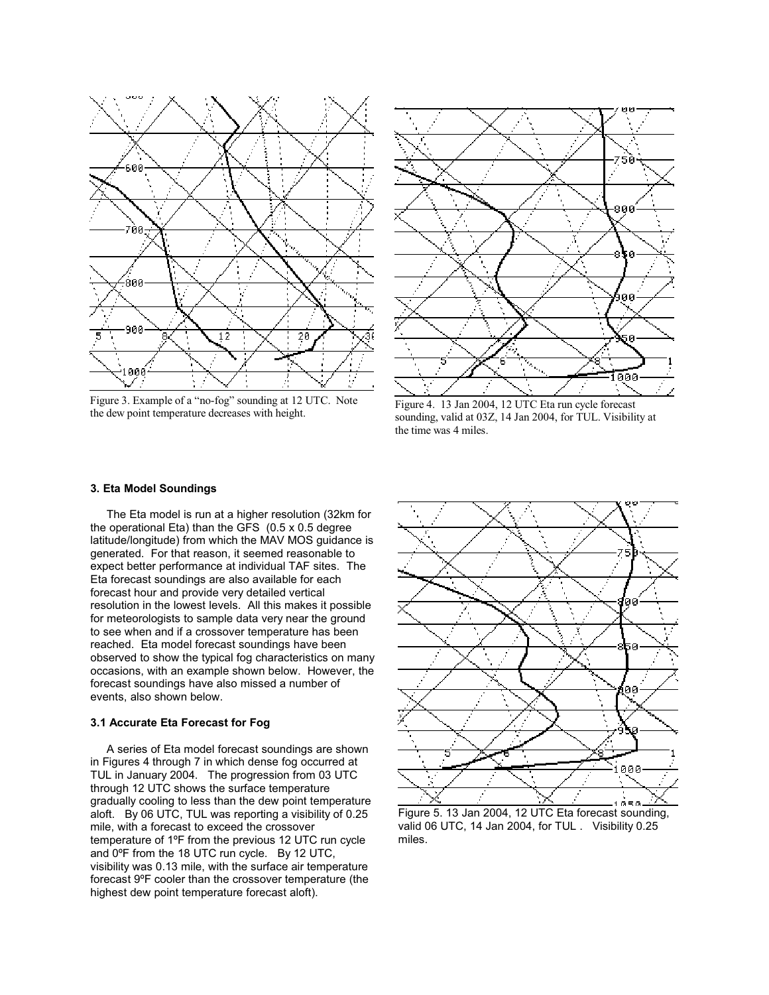

Figure 3. Example of a "no-fog" sounding at 12 UTC. Note the dew point temperature decreases with height.



Figure 4. 13 Jan 2004, 12 UTC Eta run cycle forecast sounding, valid at 03Z, 14 Jan 2004, for TUL. Visibility at the time was 4 miles.

#### **3. Eta Model Soundings**

 The Eta model is run at a higher resolution (32km for the operational Eta) than the GFS (0.5 x 0.5 degree latitude/longitude) from which the MAV MOS guidance is generated. For that reason, it seemed reasonable to expect better performance at individual TAF sites. The Eta forecast soundings are also available for each forecast hour and provide very detailed vertical resolution in the lowest levels. All this makes it possible for meteorologists to sample data very near the ground to see when and if a crossover temperature has been reached. Eta model forecast soundings have been observed to show the typical fog characteristics on many occasions, with an example shown below. However, the forecast soundings have also missed a number of events, also shown below.

#### **3.1 Accurate Eta Forecast for Fog**

 A series of Eta model forecast soundings are shown in Figures 4 through 7 in which dense fog occurred at TUL in January 2004. The progression from 03 UTC through 12 UTC shows the surface temperature gradually cooling to less than the dew point temperature aloft. By 06 UTC, TUL was reporting a visibility of 0.25 mile, with a forecast to exceed the crossover temperature of 1ºF from the previous 12 UTC run cycle and 0ºF from the 18 UTC run cycle. By 12 UTC, visibility was 0.13 mile, with the surface air temperature forecast 9ºF cooler than the crossover temperature (the highest dew point temperature forecast aloft).



Figure 5. 13 Jan 2004, 12 UTC Eta forecast sounding, valid 06 UTC, 14 Jan 2004, for TUL . Visibility 0.25 miles.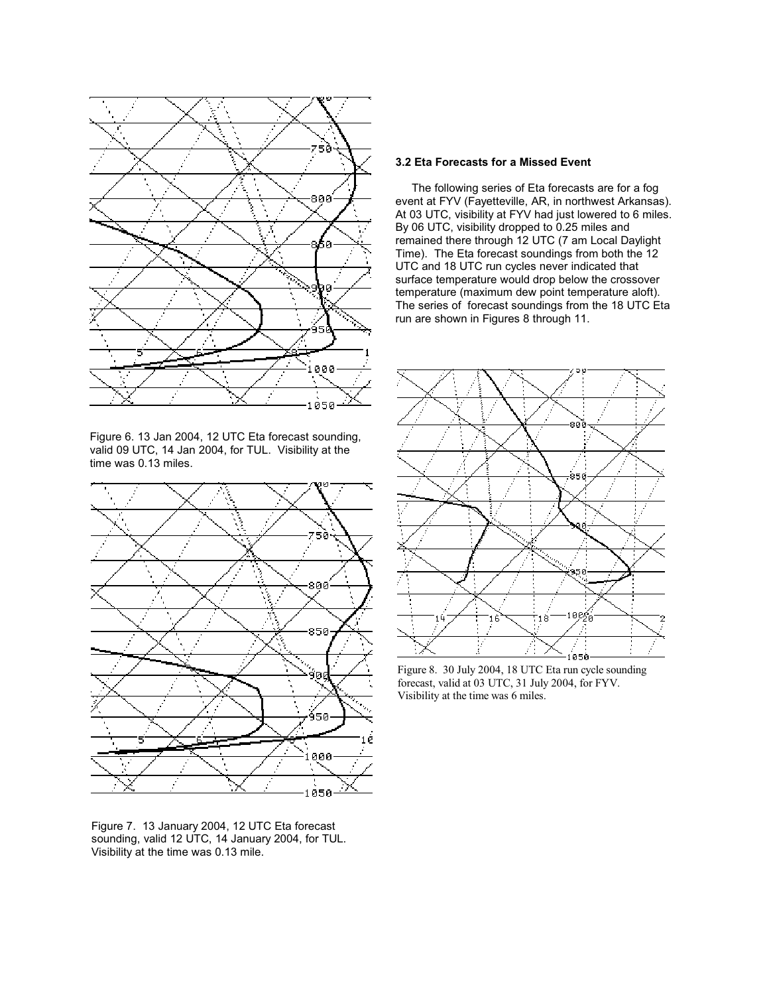

Figure 6. 13 Jan 2004, 12 UTC Eta forecast sounding, valid 09 UTC, 14 Jan 2004, for TUL. Visibility at the time was 0.13 miles.



Figure 7. 13 January 2004, 12 UTC Eta forecast sounding, valid 12 UTC, 14 January 2004, for TUL. Visibility at the time was 0.13 mile.

### **3.2 Eta Forecasts for a Missed Event**

 The following series of Eta forecasts are for a fog event at FYV (Fayetteville, AR, in northwest Arkansas). At 03 UTC, visibility at FYV had just lowered to 6 miles. By 06 UTC, visibility dropped to 0.25 miles and remained there through 12 UTC (7 am Local Daylight Time). The Eta forecast soundings from both the 12 UTC and 18 UTC run cycles never indicated that surface temperature would drop below the crossover temperature (maximum dew point temperature aloft). The series of forecast soundings from the 18 UTC Eta run are shown in Figures 8 through 11.



Figure 8. 30 July 2004, 18 UTC Eta run cycle sounding forecast, valid at 03 UTC, 31 July 2004, for FYV. Visibility at the time was 6 miles.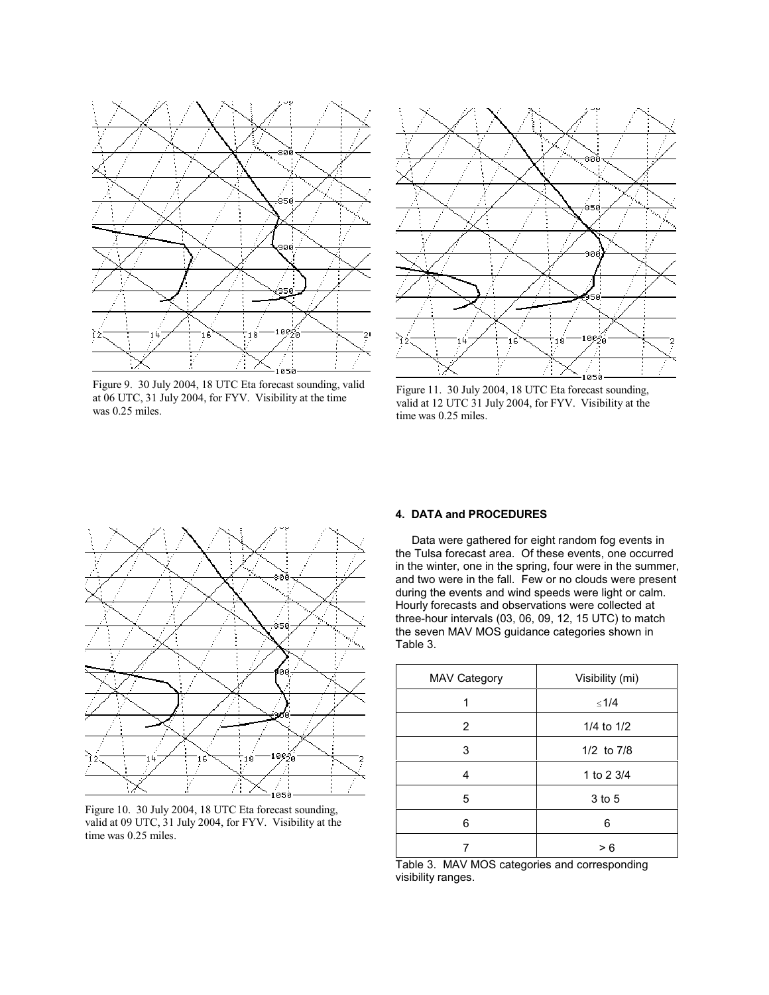

Figure 9. 30 July 2004, 18 UTC Eta forecast sounding, valid at 06 UTC, 31 July 2004, for FYV. Visibility at the time was 0.25 miles.



Figure 11. 30 July 2004, 18 UTC Eta forecast sounding, valid at 12 UTC 31 July 2004, for FYV. Visibility at the time was 0.25 miles.



Figure 10. 30 July 2004, 18 UTC Eta forecast sounding, valid at 09 UTC, 31 July 2004, for FYV. Visibility at the time was 0.25 miles.

# **4. DATA and PROCEDURES**

 Data were gathered for eight random fog events in the Tulsa forecast area. Of these events, one occurred in the winter, one in the spring, four were in the summer, and two were in the fall. Few or no clouds were present during the events and wind speeds were light or calm. Hourly forecasts and observations were collected at three-hour intervals (03, 06, 09, 12, 15 UTC) to match the seven MAV MOS guidance categories shown in Table 3.

| <b>MAV Category</b> | Visibility (mi) |
|---------------------|-----------------|
| 1                   | ≤1/4            |
| 2                   | 1/4 to $1/2$    |
| 3                   | $1/2$ to $7/8$  |
| 4                   | 1 to 2 3/4      |
| 5                   | 3 to 5          |
| 6                   | 6               |
|                     | > 6             |

Table 3. MAV MOS categories and corresponding visibility ranges.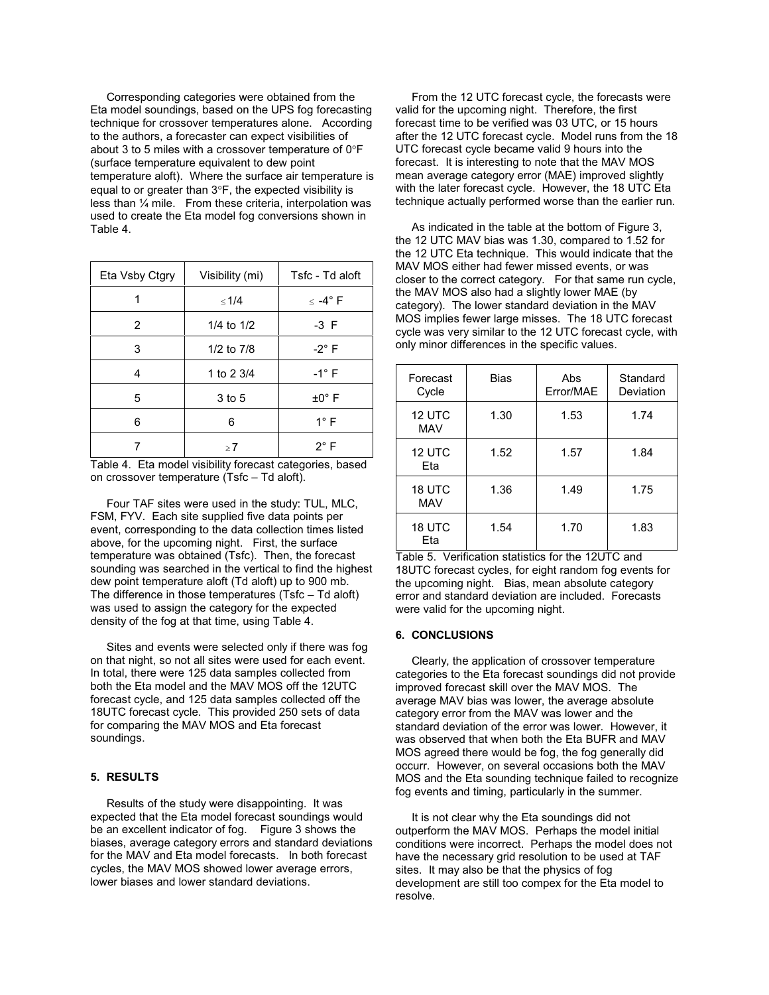Corresponding categories were obtained from the Eta model soundings, based on the UPS fog forecasting technique for crossover temperatures alone. According to the authors, a forecaster can expect visibilities of about 3 to 5 miles with a crossover temperature of 0 F (surface temperature equivalent to dew point temperature aloft). Where the surface air temperature is equal to or greater than 3 F, the expected visibility is less than ¼ mile. From these criteria, interpolation was used to create the Eta model fog conversions shown in Table 4.

| Eta Vsby Ctgry | Visibility (mi) | Tsfc - Td aloft                       |
|----------------|-----------------|---------------------------------------|
| 1              | < 1/4           | $\langle -4^\circ \mathsf{F} \rangle$ |
| 2              | 1/4 to $1/2$    | -3 F                                  |
| 3              | 1/2 to 7/8      | $-2^\circ$ F                          |
| 4              | 1 to 2 3/4      | $-1^\circ$ F                          |
| 5              | 3 to 5          | $\pm 0^{\circ}$ F                     |
| 6              | 6               | $1^\circ$ F                           |
|                | >7              | $2^{\circ}$ F                         |

Table 4. Eta model visibility forecast categories, based on crossover temperature (Tsfc – Td aloft).

 Four TAF sites were used in the study: TUL, MLC, FSM, FYV. Each site supplied five data points per event, corresponding to the data collection times listed above, for the upcoming night. First, the surface temperature was obtained (Tsfc). Then, the forecast sounding was searched in the vertical to find the highest dew point temperature aloft (Td aloft) up to 900 mb. The difference in those temperatures (Tsfc – Td aloft) was used to assign the category for the expected density of the fog at that time, using Table 4.

 Sites and events were selected only if there was fog on that night, so not all sites were used for each event. In total, there were 125 data samples collected from both the Eta model and the MAV MOS off the 12UTC forecast cycle, and 125 data samples collected off the 18UTC forecast cycle. This provided 250 sets of data for comparing the MAV MOS and Eta forecast soundings.

### **5. RESULTS**

 Results of the study were disappointing. It was expected that the Eta model forecast soundings would be an excellent indicator of fog. Figure 3 shows the biases, average category errors and standard deviations for the MAV and Eta model forecasts. In both forecast cycles, the MAV MOS showed lower average errors, lower biases and lower standard deviations.

 From the 12 UTC forecast cycle, the forecasts were valid for the upcoming night. Therefore, the first forecast time to be verified was 03 UTC, or 15 hours after the 12 UTC forecast cycle. Model runs from the 18 UTC forecast cycle became valid 9 hours into the forecast. It is interesting to note that the MAV MOS mean average category error (MAE) improved slightly with the later forecast cycle. However, the 18 UTC Eta technique actually performed worse than the earlier run.

 As indicated in the table at the bottom of Figure 3, the 12 UTC MAV bias was 1.30, compared to 1.52 for the 12 UTC Eta technique. This would indicate that the MAV MOS either had fewer missed events, or was closer to the correct category. For that same run cycle, the MAV MOS also had a slightly lower MAE (by category). The lower standard deviation in the MAV MOS implies fewer large misses. The 18 UTC forecast cycle was very similar to the 12 UTC forecast cycle, with only minor differences in the specific values.

| Forecast<br>Cycle    | Bias | Abs<br>Error/MAE | Standard<br>Deviation |
|----------------------|------|------------------|-----------------------|
| 12 UTC<br><b>MAV</b> | 1.30 | 1.53             | 1.74                  |
| 12 UTC<br>Eta        | 1.52 | 1.57             | 1.84                  |
| 18 UTC<br><b>MAV</b> | 1.36 | 1.49             | 1.75                  |
| 18 UTC<br>Eta        | 1.54 | 1.70             | 1.83                  |

Table 5. Verification statistics for the 12UTC and 18UTC forecast cycles, for eight random fog events for the upcoming night. Bias, mean absolute category error and standard deviation are included. Forecasts were valid for the upcoming night.

### **6. CONCLUSIONS**

 Clearly, the application of crossover temperature categories to the Eta forecast soundings did not provide improved forecast skill over the MAV MOS. The average MAV bias was lower, the average absolute category error from the MAV was lower and the standard deviation of the error was lower. However, it was observed that when both the Eta BUFR and MAV MOS agreed there would be fog, the fog generally did occurr. However, on several occasions both the MAV MOS and the Eta sounding technique failed to recognize fog events and timing, particularly in the summer.

 It is not clear why the Eta soundings did not outperform the MAV MOS. Perhaps the model initial conditions were incorrect. Perhaps the model does not have the necessary grid resolution to be used at TAF sites. It may also be that the physics of fog development are still too compex for the Eta model to resolve.